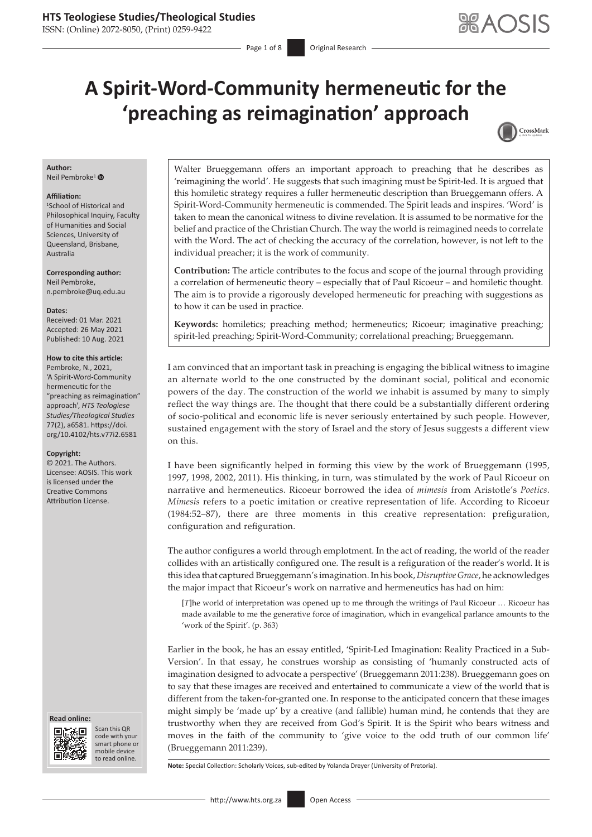### **HTS Teologiese Studies/Theological Studies**

ISSN: (Online) 2072-8050, (Print) 0259-9422

# **A Spirit-Word-Community hermeneutic for the 'preaching as reimagination' approach**



### **Author:**

Neil Pembroke<sup>[1](https://orcid.org/0000-0002-6817-3405)</sup> <sup>®</sup>

#### **Affiliation:**

1 School of Historical and Philosophical Inquiry, Faculty of Humanities and Social Sciences, University of Queensland, Brisbane, Australia

**Corresponding author:** Neil Pembroke, [n.pembroke@uq.edu.au](mailto:n.pembroke@uq.edu.au)

**Dates:**

Received: 01 Mar. 2021 Accepted: 26 May 2021 Published: 10 Aug. 2021

#### **How to cite this article:**

Pembroke, N., 2021, 'A Spirit-Word-Community hermeneutic for the "preaching as reimagination" approach', *HTS Teologiese Studies/Theological Studies* 77(2), a6581. [https://doi.](https://doi.org/10.4102/hts.v77i2.6581) [org/10.4102/hts.v77i2.6581](https://doi.org/10.4102/hts.v77i2.6581)

#### **Copyright:**

© 2021. The Authors. Licensee: AOSIS. This work is licensed under the Creative Commons Attribution License.





Scan this QR code with your Scan this QR<br>code with your<br>smart phone or<br>mobile device mobile device to read online. to read online.

Walter Brueggemann offers an important approach to preaching that he describes as 'reimagining the world'. He suggests that such imagining must be Spirit-led. It is argued that this homiletic strategy requires a fuller hermeneutic description than Brueggemann offers. A Spirit-Word-Community hermeneutic is commended. The Spirit leads and inspires. 'Word' is taken to mean the canonical witness to divine revelation. It is assumed to be normative for the belief and practice of the Christian Church. The way the world is reimagined needs to correlate with the Word. The act of checking the accuracy of the correlation, however, is not left to the individual preacher; it is the work of community.

**Contribution:** The article contributes to the focus and scope of the journal through providing a correlation of hermeneutic theory – especially that of Paul Ricoeur – and homiletic thought. The aim is to provide a rigorously developed hermeneutic for preaching with suggestions as to how it can be used in practice.

**Keywords:** homiletics; preaching method; hermeneutics; Ricoeur; imaginative preaching; spirit-led preaching; Spirit-Word-Community; correlational preaching; Brueggemann.

I am convinced that an important task in preaching is engaging the biblical witness to imagine an alternate world to the one constructed by the dominant social, political and economic powers of the day. The construction of the world we inhabit is assumed by many to simply reflect the way things are. The thought that there could be a substantially different ordering of socio-political and economic life is never seriously entertained by such people. However, sustained engagement with the story of Israel and the story of Jesus suggests a different view on this.

I have been significantly helped in forming this view by the work of Brueggemann (1995, 1997, 1998, 2002, 2011). His thinking, in turn, was stimulated by the work of Paul Ricoeur on narrative and hermeneutics. Ricoeur borrowed the idea of *mimesis* from Aristotle's *Poetics*. *Mimesis* refers to a poetic imitation or creative representation of life. According to Ricoeur (1984:52–87), there are three moments in this creative representation: prefiguration, configuration and refiguration.

The author configures a world through emplotment. In the act of reading, the world of the reader collides with an artistically configured one. The result is a refiguration of the reader's world. It is this idea that captured Brueggemann's imagination. In his book, *Disruptive Grace*, he acknowledges the major impact that Ricoeur's work on narrative and hermeneutics has had on him:

[*T*]he world of interpretation was opened up to me through the writings of Paul Ricoeur … Ricoeur has made available to me the generative force of imagination, which in evangelical parlance amounts to the 'work of the Spirit'. (p. 363)

Earlier in the book, he has an essay entitled, 'Spirit-Led Imagination: Reality Practiced in a Sub-Version'. In that essay, he construes worship as consisting of 'humanly constructed acts of imagination designed to advocate a perspective' (Brueggemann 2011:238). Brueggemann goes on to say that these images are received and entertained to communicate a view of the world that is different from the taken-for-granted one. In response to the anticipated concern that these images might simply be 'made up' by a creative (and fallible) human mind, he contends that they are trustworthy when they are received from God's Spirit. It is the Spirit who bears witness and moves in the faith of the community to 'give voice to the odd truth of our common life' (Brueggemann 2011:239).

**Note:** Special Collection: Scholarly Voices, sub-edited by Yolanda Dreyer (University of Pretoria).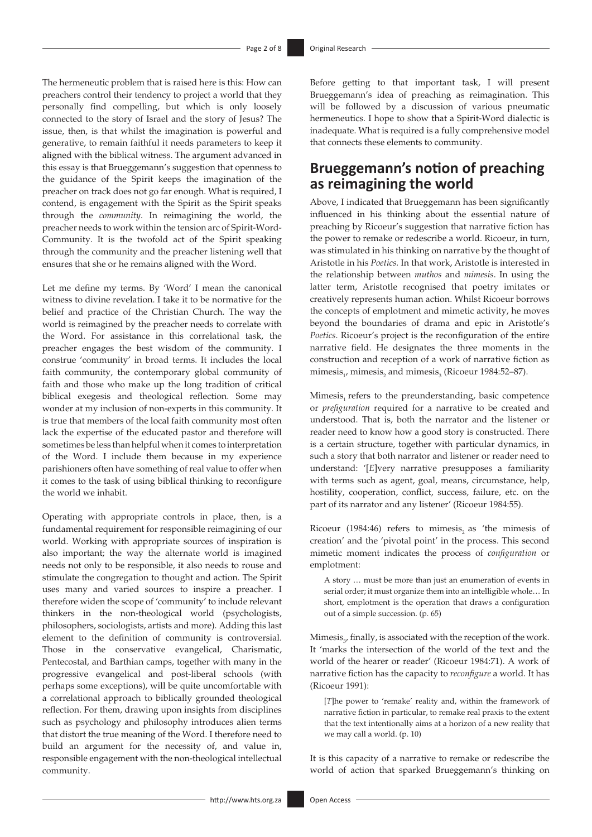The hermeneutic problem that is raised here is this: How can preachers control their tendency to project a world that they personally find compelling, but which is only loosely connected to the story of Israel and the story of Jesus? The issue, then, is that whilst the imagination is powerful and generative, to remain faithful it needs parameters to keep it aligned with the biblical witness. The argument advanced in this essay is that Brueggemann's suggestion that openness to the guidance of the Spirit keeps the imagination of the preacher on track does not go far enough. What is required, I contend, is engagement with the Spirit as the Spirit speaks through the *community*. In reimagining the world, the preacher needs to work within the tension arc of Spirit-Word-Community. It is the twofold act of the Spirit speaking through the community and the preacher listening well that ensures that she or he remains aligned with the Word.

Let me define my terms. By 'Word' I mean the canonical witness to divine revelation. I take it to be normative for the belief and practice of the Christian Church. The way the world is reimagined by the preacher needs to correlate with the Word. For assistance in this correlational task, the preacher engages the best wisdom of the community. I construe 'community' in broad terms. It includes the local faith community, the contemporary global community of faith and those who make up the long tradition of critical biblical exegesis and theological reflection. Some may wonder at my inclusion of non-experts in this community. It is true that members of the local faith community most often lack the expertise of the educated pastor and therefore will sometimes be less than helpful when it comes to interpretation of the Word. I include them because in my experience parishioners often have something of real value to offer when it comes to the task of using biblical thinking to reconfigure the world we inhabit.

Operating with appropriate controls in place, then, is a fundamental requirement for responsible reimagining of our world. Working with appropriate sources of inspiration is also important; the way the alternate world is imagined needs not only to be responsible, it also needs to rouse and stimulate the congregation to thought and action. The Spirit uses many and varied sources to inspire a preacher. I therefore widen the scope of 'community' to include relevant thinkers in the non-theological world (psychologists, philosophers, sociologists, artists and more). Adding this last element to the definition of community is controversial. Those in the conservative evangelical, Charismatic, Pentecostal, and Barthian camps, together with many in the progressive evangelical and post-liberal schools (with perhaps some exceptions), will be quite uncomfortable with a correlational approach to biblically grounded theological reflection. For them, drawing upon insights from disciplines such as psychology and philosophy introduces alien terms that distort the true meaning of the Word. I therefore need to build an argument for the necessity of, and value in, responsible engagement with the non-theological intellectual community.

Before getting to that important task, I will present Brueggemann's idea of preaching as reimagination. This will be followed by a discussion of various pneumatic hermeneutics. I hope to show that a Spirit-Word dialectic is inadequate. What is required is a fully comprehensive model that connects these elements to community.

## **Brueggemann's notion of preaching as reimagining the world**

Above, I indicated that Brueggemann has been significantly influenced in his thinking about the essential nature of preaching by Ricoeur's suggestion that narrative fiction has the power to remake or redescribe a world. Ricoeur, in turn, was stimulated in his thinking on narrative by the thought of Aristotle in his *Poetics.* In that work, Aristotle is interested in the relationship between *muthos* and *mimesis*. In using the latter term, Aristotle recognised that poetry imitates or creatively represents human action. Whilst Ricoeur borrows the concepts of emplotment and mimetic activity, he moves beyond the boundaries of drama and epic in Aristotle's *Poetics*. Ricoeur's project is the reconfiguration of the entire narrative field. He designates the three moments in the construction and reception of a work of narrative fiction as mimesis<sub>1</sub>, mimesis<sub>2</sub> and mimesis<sub>3</sub> (Ricoeur 1984:52–87).

Mimesis, refers to the preunderstanding, basic competence or *prefiguration* required for a narrative to be created and understood. That is, both the narrator and the listener or reader need to know how a good story is constructed. There is a certain structure, together with particular dynamics, in such a story that both narrator and listener or reader need to understand: '[*E*]very narrative presupposes a familiarity with terms such as agent, goal, means, circumstance, help, hostility, cooperation, conflict, success, failure, etc. on the part of its narrator and any listener' (Ricoeur 1984:55).

Ricoeur (1984:46) refers to mimesis, as 'the mimesis of creation' and the 'pivotal point' in the process. This second mimetic moment indicates the process of *configuration* or emplotment:

A story … must be more than just an enumeration of events in serial order; it must organize them into an intelligible whole… In short, emplotment is the operation that draws a configuration out of a simple succession. (p. 65)

Mimesis<sub> $3$ </sub>, finally, is associated with the reception of the work. It 'marks the intersection of the world of the text and the world of the hearer or reader' (Ricoeur 1984:71). A work of narrative fiction has the capacity to *reconfigure* a world. It has (Ricoeur 1991):

[*T*]he power to 'remake' reality and, within the framework of narrative fiction in particular, to remake real praxis to the extent that the text intentionally aims at a horizon of a new reality that we may call a world. (p. 10)

It is this capacity of a narrative to remake or redescribe the world of action that sparked Brueggemann's thinking on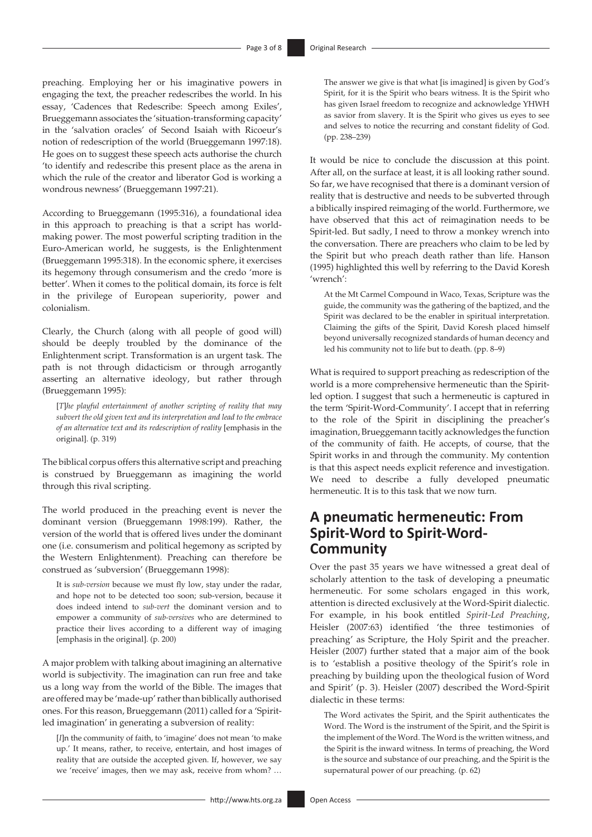preaching. Employing her or his imaginative powers in engaging the text, the preacher redescribes the world. In his essay, 'Cadences that Redescribe: Speech among Exiles', Brueggemann associates the 'situation-transforming capacity' in the 'salvation oracles' of Second Isaiah with Ricoeur's notion of redescription of the world (Brueggemann 1997:18). He goes on to suggest these speech acts authorise the church 'to identify and redescribe this present place as the arena in which the rule of the creator and liberator God is working a wondrous newness' (Brueggemann 1997:21).

According to Brueggemann (1995:316), a foundational idea in this approach to preaching is that a script has worldmaking power. The most powerful scripting tradition in the Euro-American world, he suggests, is the Enlightenment (Brueggemann 1995:318). In the economic sphere, it exercises its hegemony through consumerism and the credo 'more is better'. When it comes to the political domain, its force is felt in the privilege of European superiority, power and colonialism.

Clearly, the Church (along with all people of good will) should be deeply troubled by the dominance of the Enlightenment script. Transformation is an urgent task. The path is not through didacticism or through arrogantly asserting an alternative ideology, but rather through (Brueggemann 1995):

[*T*]*he playful entertainment of another scripting of reality that may subvert the old given text and its interpretation and lead to the embrace of an alternative text and its redescription of reality* [emphasis in the original]. (p. 319)

The biblical corpus offers this alternative script and preaching is construed by Brueggemann as imagining the world through this rival scripting.

The world produced in the preaching event is never the dominant version (Brueggemann 1998:199). Rather, the version of the world that is offered lives under the dominant one (i.e. consumerism and political hegemony as scripted by the Western Enlightenment). Preaching can therefore be construed as 'subversion' (Brueggemann 1998):

It is *sub-version* because we must fly low, stay under the radar, and hope not to be detected too soon; sub-version, because it does indeed intend to *sub-vert* the dominant version and to empower a community of *sub-versives* who are determined to practice their lives according to a different way of imaging [emphasis in the original]. (p. 200)

A major problem with talking about imagining an alternative world is subjectivity. The imagination can run free and take us a long way from the world of the Bible. The images that are offered may be 'made-up' rather than biblically authorised ones. For this reason, Brueggemann (2011) called for a 'Spiritled imagination' in generating a subversion of reality:

[*I*]n the community of faith, to 'imagine' does not mean 'to make up.' It means, rather, to receive, entertain, and host images of reality that are outside the accepted given. If, however, we say we 'receive' images, then we may ask, receive from whom? … The answer we give is that what [is imagined] is given by God's Spirit, for it is the Spirit who bears witness. It is the Spirit who has given Israel freedom to recognize and acknowledge YHWH as savior from slavery. It is the Spirit who gives us eyes to see and selves to notice the recurring and constant fidelity of God. (pp. 238–239)

It would be nice to conclude the discussion at this point. After all, on the surface at least, it is all looking rather sound. So far, we have recognised that there is a dominant version of reality that is destructive and needs to be subverted through a biblically inspired reimaging of the world. Furthermore, we have observed that this act of reimagination needs to be Spirit-led. But sadly, I need to throw a monkey wrench into the conversation. There are preachers who claim to be led by the Spirit but who preach death rather than life. Hanson (1995) highlighted this well by referring to the David Koresh 'wrench':

At the Mt Carmel Compound in Waco, Texas, Scripture was the guide, the community was the gathering of the baptized, and the Spirit was declared to be the enabler in spiritual interpretation. Claiming the gifts of the Spirit, David Koresh placed himself beyond universally recognized standards of human decency and led his community not to life but to death. (pp. 8–9)

What is required to support preaching as redescription of the world is a more comprehensive hermeneutic than the Spiritled option. I suggest that such a hermeneutic is captured in the term 'Spirit-Word-Community'. I accept that in referring to the role of the Spirit in disciplining the preacher's imagination, Brueggemann tacitly acknowledges the function of the community of faith. He accepts, of course, that the Spirit works in and through the community. My contention is that this aspect needs explicit reference and investigation. We need to describe a fully developed pneumatic hermeneutic. It is to this task that we now turn.

# **A pneumatic hermeneutic: From Spirit-Word to Spirit-Word-Community**

Over the past 35 years we have witnessed a great deal of scholarly attention to the task of developing a pneumatic hermeneutic. For some scholars engaged in this work, attention is directed exclusively at the Word-Spirit dialectic. For example, in his book entitled *Spirit-Led Preaching*, Heisler (2007:63) identified 'the three testimonies of preaching' as Scripture, the Holy Spirit and the preacher. Heisler (2007) further stated that a major aim of the book is to 'establish a positive theology of the Spirit's role in preaching by building upon the theological fusion of Word and Spirit' (p. 3). Heisler (2007) described the Word-Spirit dialectic in these terms:

The Word activates the Spirit, and the Spirit authenticates the Word. The Word is the instrument of the Spirit, and the Spirit is the implement of the Word. The Word is the written witness, and the Spirit is the inward witness. In terms of preaching, the Word is the source and substance of our preaching, and the Spirit is the supernatural power of our preaching. (p. 62)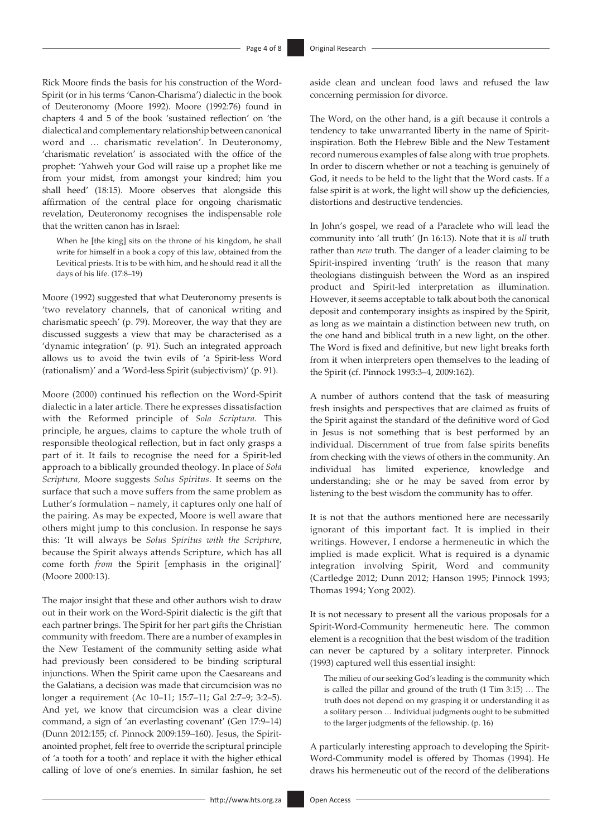Rick Moore finds the basis for his construction of the Word-Spirit (or in his terms 'Canon-Charisma') dialectic in the book of Deuteronomy (Moore 1992). Moore (1992:76) found in chapters 4 and 5 of the book 'sustained reflection' on 'the dialectical and complementary relationship between canonical word and … charismatic revelation'. In Deuteronomy, 'charismatic revelation' is associated with the office of the prophet: 'Yahweh your God will raise up a prophet like me from your midst, from amongst your kindred; him you shall heed' (18:15). Moore observes that alongside this affirmation of the central place for ongoing charismatic revelation, Deuteronomy recognises the indispensable role that the written canon has in Israel:

When he [the king] sits on the throne of his kingdom, he shall write for himself in a book a copy of this law, obtained from the Levitical priests. It is to be with him, and he should read it all the days of his life. (17:8–19)

Moore (1992) suggested that what Deuteronomy presents is 'two revelatory channels, that of canonical writing and charismatic speech' (p. 79). Moreover, the way that they are discussed suggests a view that may be characterised as a 'dynamic integration' (p. 91). Such an integrated approach allows us to avoid the twin evils of 'a Spirit-less Word (rationalism)' and a 'Word-less Spirit (subjectivism)' (p. 91).

Moore (2000) continued his reflection on the Word-Spirit dialectic in a later article. There he expresses dissatisfaction with the Reformed principle of *Sola Scriptura*. This principle, he argues, claims to capture the whole truth of responsible theological reflection, but in fact only grasps a part of it. It fails to recognise the need for a Spirit-led approach to a biblically grounded theology. In place of *Sola Scriptura,* Moore suggests *Solus Spiritus*. It seems on the surface that such a move suffers from the same problem as Luther's formulation – namely, it captures only one half of the pairing. As may be expected, Moore is well aware that others might jump to this conclusion. In response he says this: 'It will always be *Solus Spiritus with the Scripture*, because the Spirit always attends Scripture, which has all come forth *from* the Spirit [emphasis in the original]' (Moore 2000:13).

The major insight that these and other authors wish to draw out in their work on the Word-Spirit dialectic is the gift that each partner brings. The Spirit for her part gifts the Christian community with freedom. There are a number of examples in the New Testament of the community setting aside what had previously been considered to be binding scriptural injunctions. When the Spirit came upon the Caesareans and the Galatians, a decision was made that circumcision was no longer a requirement (Ac 10–11; 15:7–11; Gal 2:7–9; 3:2–5). And yet, we know that circumcision was a clear divine command, a sign of 'an everlasting covenant' (Gen 17:9–14) (Dunn 2012:155; cf. Pinnock 2009:159–160). Jesus, the Spiritanointed prophet, felt free to override the scriptural principle of 'a tooth for a tooth' and replace it with the higher ethical calling of love of one's enemies. In similar fashion, he set

aside clean and unclean food laws and refused the law concerning permission for divorce.

The Word, on the other hand, is a gift because it controls a tendency to take unwarranted liberty in the name of Spiritinspiration. Both the Hebrew Bible and the New Testament record numerous examples of false along with true prophets. In order to discern whether or not a teaching is genuinely of God, it needs to be held to the light that the Word casts. If a false spirit is at work, the light will show up the deficiencies, distortions and destructive tendencies.

In John's gospel, we read of a Paraclete who will lead the community into 'all truth' (Jn 16:13). Note that it is *all* truth rather than *new* truth. The danger of a leader claiming to be Spirit-inspired inventing 'truth' is the reason that many theologians distinguish between the Word as an inspired product and Spirit-led interpretation as illumination. However, it seems acceptable to talk about both the canonical deposit and contemporary insights as inspired by the Spirit, as long as we maintain a distinction between new truth, on the one hand and biblical truth in a new light, on the other. The Word is fixed and definitive, but new light breaks forth from it when interpreters open themselves to the leading of the Spirit (cf. Pinnock 1993:3–4, 2009:162).

A number of authors contend that the task of measuring fresh insights and perspectives that are claimed as fruits of the Spirit against the standard of the definitive word of God in Jesus is not something that is best performed by an individual. Discernment of true from false spirits benefits from checking with the views of others in the community. An individual has limited experience, knowledge and understanding; she or he may be saved from error by listening to the best wisdom the community has to offer.

It is not that the authors mentioned here are necessarily ignorant of this important fact. It is implied in their writings. However, I endorse a hermeneutic in which the implied is made explicit. What is required is a dynamic integration involving Spirit, Word and community (Cartledge 2012; Dunn 2012; Hanson 1995; Pinnock 1993; Thomas 1994; Yong 2002).

It is not necessary to present all the various proposals for a Spirit-Word-Community hermeneutic here. The common element is a recognition that the best wisdom of the tradition can never be captured by a solitary interpreter. Pinnock (1993) captured well this essential insight:

The milieu of our seeking God's leading is the community which is called the pillar and ground of the truth (1 Tim 3:15) … The truth does not depend on my grasping it or understanding it as a solitary person … Individual judgments ought to be submitted to the larger judgments of the fellowship. (p. 16)

A particularly interesting approach to developing the Spirit-Word-Community model is offered by Thomas (1994). He draws his hermeneutic out of the record of the deliberations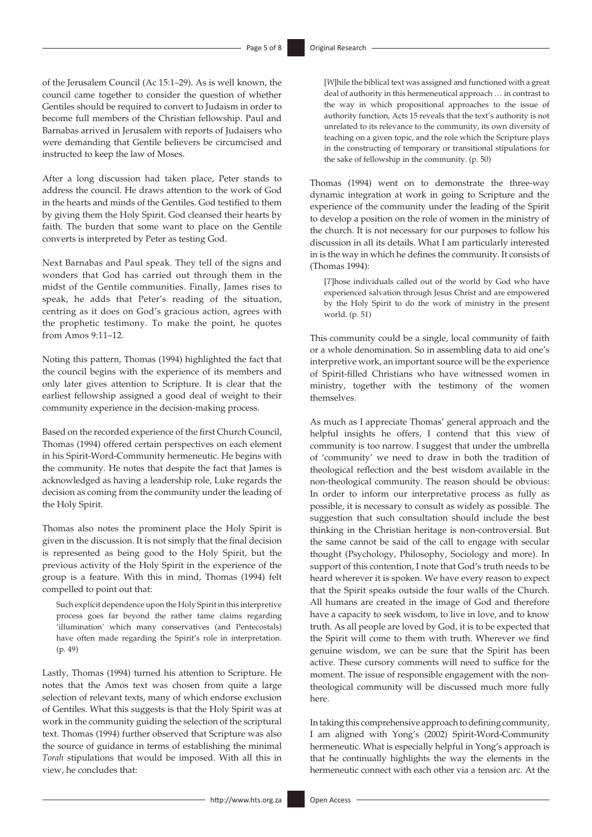of the Jerusalem Council (Ac 15:1–29). As is well known, the council came together to consider the question of whether Gentiles should be required to convert to Judaism in order to become full members of the Christian fellowship. Paul and Barnabas arrived in Jerusalem with reports of Judaisers who were demanding that Gentile believers be circumcised and instructed to keep the law of Moses.

After a long discussion had taken place, Peter stands to address the council. He draws attention to the work of God in the hearts and minds of the Gentiles. God testified to them by giving them the Holy Spirit. God cleansed their hearts by faith. The burden that some want to place on the Gentile converts is interpreted by Peter as testing God.

Next Barnabas and Paul speak. They tell of the signs and wonders that God has carried out through them in the midst of the Gentile communities. Finally, James rises to speak, he adds that Peter's reading of the situation, centring as it does on God's gracious action, agrees with the prophetic testimony. To make the point, he quotes from Amos 9:11–12.

Noting this pattern, Thomas (1994) highlighted the fact that the council begins with the experience of its members and only later gives attention to Scripture. It is clear that the earliest fellowship assigned a good deal of weight to their community experience in the decision-making process.

Based on the recorded experience of the first Church Council, Thomas (1994) offered certain perspectives on each element in his Spirit-Word-Community hermeneutic. He begins with the community. He notes that despite the fact that James is acknowledged as having a leadership role, Luke regards the decision as coming from the community under the leading of the Holy Spirit.

Thomas also notes the prominent place the Holy Spirit is given in the discussion. It is not simply that the final decision is represented as being good to the Holy Spirit, but the previous activity of the Holy Spirit in the experience of the group is a feature. With this in mind, Thomas (1994) felt compelled to point out that:

Such explicit dependence upon the Holy Spirit in this interpretive process goes far beyond the rather tame claims regarding 'illumination' which many conservatives (and Pentecostals) have often made regarding the Spirit's role in interpretation. (p. 49)

Lastly, Thomas (1994) turned his attention to Scripture. He notes that the Amos text was chosen from quite a large selection of relevant texts, many of which endorse exclusion of Gentiles. What this suggests is that the Holy Spirit was at work in the community guiding the selection of the scriptural text. Thomas (1994) further observed that Scripture was also the source of guidance in terms of establishing the minimal *Torah* stipulations that would be imposed. With all this in view, he concludes that:

[*W*]hile the biblical text was assigned and functioned with a great deal of authority in this hermeneutical approach … in contrast to the way in which propositional approaches to the issue of authority function, Acts 15 reveals that the text's authority is not unrelated to its relevance to the community, its own diversity of teaching on a given topic, and the role which the Scripture plays in the constructing of temporary or transitional stipulations for the sake of fellowship in the community. (p. 50)

Thomas (1994) went on to demonstrate the three-way dynamic integration at work in going to Scripture and the experience of the community under the leading of the Spirit to develop a position on the role of women in the ministry of the church. It is not necessary for our purposes to follow his discussion in all its details. What I am particularly interested in is the way in which he defines the community. It consists of (Thomas 1994):

[*T*]hose individuals called out of the world by God who have experienced salvation through Jesus Christ and are empowered by the Holy Spirit to do the work of ministry in the present world. (p. 51)

This community could be a single, local community of faith or a whole denomination. So in assembling data to aid one's interpretive work, an important source will be the experience of Spirit-filled Christians who have witnessed women in ministry, together with the testimony of the women themselves.

As much as I appreciate Thomas' general approach and the helpful insights he offers, I contend that this view of community is too narrow. I suggest that under the umbrella of 'community' we need to draw in both the tradition of theological reflection and the best wisdom available in the non-theological community. The reason should be obvious: In order to inform our interpretative process as fully as possible, it is necessary to consult as widely as possible. The suggestion that such consultation should include the best thinking in the Christian heritage is non-controversial. But the same cannot be said of the call to engage with secular thought (Psychology, Philosophy, Sociology and more). In support of this contention, I note that God's truth needs to be heard wherever it is spoken. We have every reason to expect that the Spirit speaks outside the four walls of the Church. All humans are created in the image of God and therefore have a capacity to seek wisdom, to live in love, and to know truth. As all people are loved by God, it is to be expected that the Spirit will come to them with truth. Wherever we find genuine wisdom, we can be sure that the Spirit has been active. These cursory comments will need to suffice for the moment. The issue of responsible engagement with the nontheological community will be discussed much more fully here.

In taking this comprehensive approach to defining community, I am aligned with Yong's (2002) Spirit-Word-Community hermeneutic. What is especially helpful in Yong's approach is that he continually highlights the way the elements in the hermeneutic connect with each other via a tension arc. At the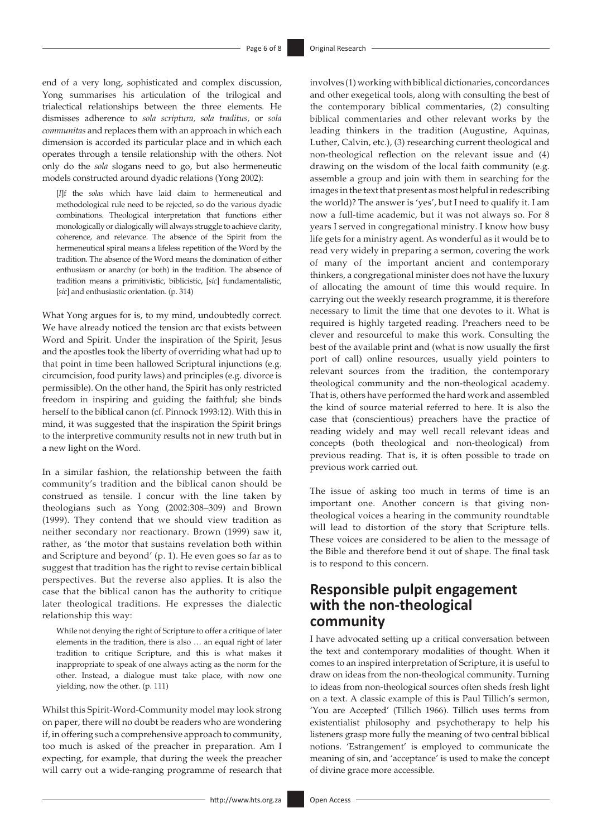end of a very long, sophisticated and complex discussion, Yong summarises his articulation of the trilogical and trialectical relationships between the three elements. He dismisses adherence to *sola scriptura, sola traditus,* or *sola communitas* and replaces them with an approach in which each dimension is accorded its particular place and in which each operates through a tensile relationship with the others. Not only do the *sola* slogans need to go, but also hermeneutic models constructed around dyadic relations (Yong 2002):

[*I*]f the *solas* which have laid claim to hermeneutical and methodological rule need to be rejected, so do the various dyadic combinations. Theological interpretation that functions either monologically or dialogically will always struggle to achieve clarity, coherence, and relevance. The absence of the Spirit from the hermeneutical spiral means a lifeless repetition of the Word by the tradition. The absence of the Word means the domination of either enthusiasm or anarchy (or both) in the tradition. The absence of tradition means a primitivistic, biblicistic, [*sic*] fundamentalistic, [*sic*] and enthusiastic orientation. (p. 314)

What Yong argues for is, to my mind, undoubtedly correct. We have already noticed the tension arc that exists between Word and Spirit. Under the inspiration of the Spirit, Jesus and the apostles took the liberty of overriding what had up to that point in time been hallowed Scriptural injunctions (e.g. circumcision, food purity laws) and principles (e.g. divorce is permissible). On the other hand, the Spirit has only restricted freedom in inspiring and guiding the faithful; she binds herself to the biblical canon (cf. Pinnock 1993:12). With this in mind, it was suggested that the inspiration the Spirit brings to the interpretive community results not in new truth but in a new light on the Word.

In a similar fashion, the relationship between the faith community's tradition and the biblical canon should be construed as tensile. I concur with the line taken by theologians such as Yong (2002:308–309) and Brown (1999). They contend that we should view tradition as neither secondary nor reactionary. Brown (1999) saw it, rather, as 'the motor that sustains revelation both within and Scripture and beyond' (p. 1). He even goes so far as to suggest that tradition has the right to revise certain biblical perspectives. But the reverse also applies. It is also the case that the biblical canon has the authority to critique later theological traditions. He expresses the dialectic relationship this way:

While not denying the right of Scripture to offer a critique of later elements in the tradition, there is also … an equal right of later tradition to critique Scripture, and this is what makes it inappropriate to speak of one always acting as the norm for the other. Instead, a dialogue must take place, with now one yielding, now the other. (p. 111)

Whilst this Spirit-Word-Community model may look strong on paper, there will no doubt be readers who are wondering if, in offering such a comprehensive approach to community, too much is asked of the preacher in preparation. Am I expecting, for example, that during the week the preacher will carry out a wide-ranging programme of research that involves (1) working with biblical dictionaries, concordances and other exegetical tools, along with consulting the best of the contemporary biblical commentaries, (2) consulting biblical commentaries and other relevant works by the leading thinkers in the tradition (Augustine, Aquinas, Luther, Calvin, etc.), (3) researching current theological and non-theological reflection on the relevant issue and (4) drawing on the wisdom of the local faith community (e.g. assemble a group and join with them in searching for the images in the text that present as most helpful in redescribing the world)? The answer is 'yes', but I need to qualify it. I am now a full-time academic, but it was not always so. For 8 years I served in congregational ministry. I know how busy life gets for a ministry agent. As wonderful as it would be to read very widely in preparing a sermon, covering the work of many of the important ancient and contemporary thinkers, a congregational minister does not have the luxury of allocating the amount of time this would require. In carrying out the weekly research programme, it is therefore necessary to limit the time that one devotes to it. What is required is highly targeted reading. Preachers need to be clever and resourceful to make this work. Consulting the best of the available print and (what is now usually the first port of call) online resources, usually yield pointers to relevant sources from the tradition, the contemporary theological community and the non-theological academy. That is, others have performed the hard work and assembled the kind of source material referred to here. It is also the case that (conscientious) preachers have the practice of reading widely and may well recall relevant ideas and concepts (both theological and non-theological) from previous reading. That is, it is often possible to trade on previous work carried out.

The issue of asking too much in terms of time is an important one. Another concern is that giving nontheological voices a hearing in the community roundtable will lead to distortion of the story that Scripture tells. These voices are considered to be alien to the message of the Bible and therefore bend it out of shape. The final task is to respond to this concern.

## **Responsible pulpit engagement with the non-theological community**

I have advocated setting up a critical conversation between the text and contemporary modalities of thought. When it comes to an inspired interpretation of Scripture, it is useful to draw on ideas from the non-theological community. Turning to ideas from non-theological sources often sheds fresh light on a text. A classic example of this is Paul Tillich's sermon, 'You are Accepted' (Tillich 1966). Tillich uses terms from existentialist philosophy and psychotherapy to help his listeners grasp more fully the meaning of two central biblical notions. 'Estrangement' is employed to communicate the meaning of sin, and 'acceptance' is used to make the concept of divine grace more accessible.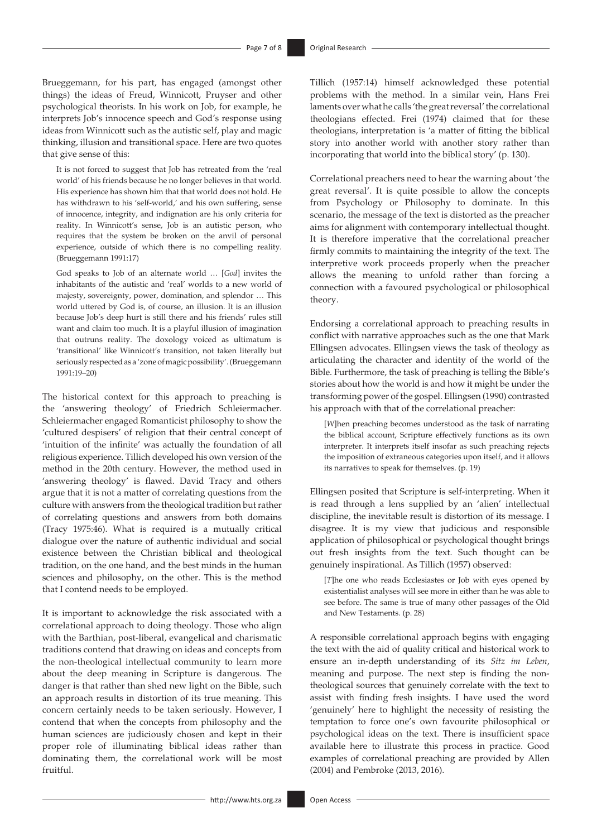Brueggemann, for his part, has engaged (amongst other things) the ideas of Freud, Winnicott, Pruyser and other psychological theorists. In his work on Job, for example, he interprets Job's innocence speech and God's response using ideas from Winnicott such as the autistic self, play and magic thinking, illusion and transitional space. Here are two quotes that give sense of this:

It is not forced to suggest that Job has retreated from the 'real world' of his friends because he no longer believes in that world. His experience has shown him that that world does not hold. He has withdrawn to his 'self-world,' and his own suffering, sense of innocence, integrity, and indignation are his only criteria for reality. In Winnicott's sense, Job is an autistic person, who requires that the system be broken on the anvil of personal experience, outside of which there is no compelling reality. (Brueggemann 1991:17)

God speaks to Job of an alternate world … [*God*] invites the inhabitants of the autistic and 'real' worlds to a new world of majesty, sovereignty, power, domination, and splendor … This world uttered by God is, of course, an illusion. It is an illusion because Job's deep hurt is still there and his friends' rules still want and claim too much. It is a playful illusion of imagination that outruns reality. The doxology voiced as ultimatum is 'transitional' like Winnicott's transition, not taken literally but seriously respected as a 'zone of magic possibility'. (Brueggemann 1991:19‒20)

The historical context for this approach to preaching is the 'answering theology' of Friedrich Schleiermacher. Schleiermacher engaged Romanticist philosophy to show the 'cultured despisers' of religion that their central concept of 'intuition of the infinite' was actually the foundation of all religious experience. Tillich developed his own version of the method in the 20th century. However, the method used in 'answering theology' is flawed. David Tracy and others argue that it is not a matter of correlating questions from the culture with answers from the theological tradition but rather of correlating questions and answers from both domains (Tracy 1975:46). What is required is a mutually critical dialogue over the nature of authentic individual and social existence between the Christian biblical and theological tradition, on the one hand, and the best minds in the human sciences and philosophy, on the other. This is the method that I contend needs to be employed.

It is important to acknowledge the risk associated with a correlational approach to doing theology. Those who align with the Barthian, post-liberal, evangelical and charismatic traditions contend that drawing on ideas and concepts from the non-theological intellectual community to learn more about the deep meaning in Scripture is dangerous. The danger is that rather than shed new light on the Bible, such an approach results in distortion of its true meaning. This concern certainly needs to be taken seriously. However, I contend that when the concepts from philosophy and the human sciences are judiciously chosen and kept in their proper role of illuminating biblical ideas rather than dominating them, the correlational work will be most fruitful.

Tillich (1957:14) himself acknowledged these potential problems with the method. In a similar vein, Hans Frei laments over what he calls 'the great reversal' the correlational theologians effected. Frei (1974) claimed that for these theologians, interpretation is 'a matter of fitting the biblical story into another world with another story rather than incorporating that world into the biblical story' (p. 130).

Correlational preachers need to hear the warning about 'the great reversal'. It is quite possible to allow the concepts from Psychology or Philosophy to dominate. In this scenario, the message of the text is distorted as the preacher aims for alignment with contemporary intellectual thought. It is therefore imperative that the correlational preacher firmly commits to maintaining the integrity of the text. The interpretive work proceeds properly when the preacher allows the meaning to unfold rather than forcing a connection with a favoured psychological or philosophical theory.

Endorsing a correlational approach to preaching results in conflict with narrative approaches such as the one that Mark Ellingsen advocates. Ellingsen views the task of theology as articulating the character and identity of the world of the Bible. Furthermore, the task of preaching is telling the Bible's stories about how the world is and how it might be under the transforming power of the gospel. Ellingsen (1990) contrasted his approach with that of the correlational preacher:

[*W*]hen preaching becomes understood as the task of narrating the biblical account, Scripture effectively functions as its own interpreter. It interprets itself insofar as such preaching rejects the imposition of extraneous categories upon itself, and it allows its narratives to speak for themselves. (p. 19)

Ellingsen posited that Scripture is self-interpreting. When it is read through a lens supplied by an 'alien' intellectual discipline, the inevitable result is distortion of its message. I disagree. It is my view that judicious and responsible application of philosophical or psychological thought brings out fresh insights from the text. Such thought can be genuinely inspirational. As Tillich (1957) observed:

[*T*]he one who reads Ecclesiastes or Job with eyes opened by existentialist analyses will see more in either than he was able to see before. The same is true of many other passages of the Old and New Testaments. (p. 28)

A responsible correlational approach begins with engaging the text with the aid of quality critical and historical work to ensure an in-depth understanding of its *Sitz im Leben*, meaning and purpose. The next step is finding the nontheological sources that genuinely correlate with the text to assist with finding fresh insights. I have used the word 'genuinely' here to highlight the necessity of resisting the temptation to force one's own favourite philosophical or psychological ideas on the text. There is insufficient space available here to illustrate this process in practice. Good examples of correlational preaching are provided by Allen (2004) and Pembroke (2013, 2016).